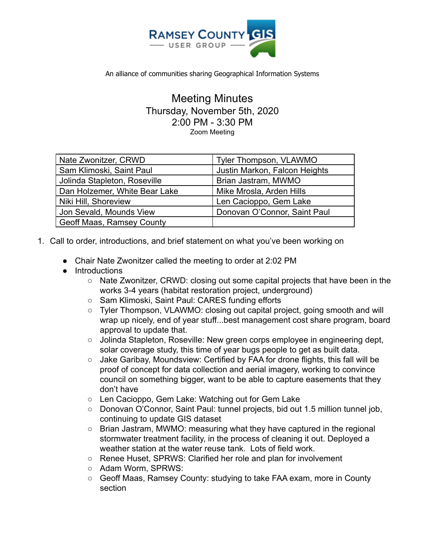

An alliance of communities sharing Geographical Information Systems

Meeting Minutes Thursday, November 5th, 2020 2:00 PM - 3:30 PM Zoom Meeting

| Nate Zwonitzer, CRWD          | Tyler Thompson, VLAWMO        |
|-------------------------------|-------------------------------|
| Sam Klimoski, Saint Paul      | Justin Markon, Falcon Heights |
| Jolinda Stapleton, Roseville  | Brian Jastram, MWMO           |
| Dan Holzemer, White Bear Lake | Mike Mrosla, Arden Hills      |
| Niki Hill, Shoreview          | Len Cacioppo, Gem Lake        |
| Jon Sevald, Mounds View       | Donovan O'Connor, Saint Paul  |
| Geoff Maas, Ramsey County     |                               |
|                               |                               |

- 1. Call to order, introductions, and brief statement on what you've been working on
	- Chair Nate Zwonitzer called the meeting to order at 2:02 PM
	- Introductions
		- $\circ$  Nate Zwonitzer, CRWD: closing out some capital projects that have been in the works 3-4 years (habitat restoration project, underground)
		- Sam Klimoski, Saint Paul: CARES funding efforts
		- Tyler Thompson, VLAWMO: closing out capital project, going smooth and will wrap up nicely, end of year stuff...best management cost share program, board approval to update that.
		- Jolinda Stapleton, Roseville: New green corps employee in engineering dept, solar coverage study, this time of year bugs people to get as built data.
		- Jake Garibay, Moundsview: Certified by FAA for drone flights, this fall will be proof of concept for data collection and aerial imagery, working to convince council on something bigger, want to be able to capture easements that they don't have
		- Len Cacioppo, Gem Lake: Watching out for Gem Lake
		- Donovan O'Connor, Saint Paul: tunnel projects, bid out 1.5 million tunnel job, continuing to update GIS dataset
		- Brian Jastram, MWMO: measuring what they have captured in the regional stormwater treatment facility, in the process of cleaning it out. Deployed a weather station at the water reuse tank. Lots of field work.
		- Renee Huset, SPRWS: Clarified her role and plan for involvement
		- Adam Worm, SPRWS:
		- Geoff Maas, Ramsey County: studying to take FAA exam, more in County section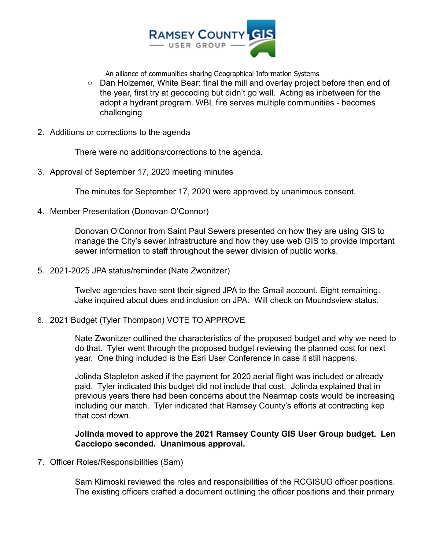

An alliance of communities sharing Geographical Information Systems

- Dan Holzemer, White Bear: final the mill and overlay project before then end of the year, first try at geocoding but didn't go well. Acting as inbetween for the adopt a hydrant program. WBL fire serves multiple communities - becomes challenging
- 2. Additions or corrections to the agenda

There were no additions/corrections to the agenda.

3. Approval of September 17, 2020 meeting minutes

The minutes for September 17, 2020 were approved by unanimous consent.

4. Member Presentation (Donovan O'Connor)

Donovan O'Connor from Saint Paul Sewers presented on how they are using GIS to manage the City's sewer infrastructure and how they use web GIS to provide important sewer information to staff throughout the sewer division of public works.

5. 2021-2025 JPA status/reminder (Nate Zwonitzer)

Twelve agencies have sent their signed JPA to the Gmail account. Eight remaining. Jake inquired about dues and inclusion on JPA. Will check on Moundsview status.

6. 2021 Budget (Tyler Thompson) VOTE TO APPROVE

Nate Zwonitzer outlined the characteristics of the proposed budget and why we need to do that. Tyler went through the proposed budget reviewing the planned cost for next year. One thing included is the Esri User Conference in case it still happens.

Jolinda Stapleton asked if the payment for 2020 aerial flight was included or already paid. Tyler indicated this budget did not include that cost. Jolinda explained that in previous years there had been concerns about the Nearmap costs would be increasing including our match. Tyler indicated that Ramsey County's efforts at contracting kep that cost down.

**Jolinda moved to approve the 2021 Ramsey County GIS User Group budget. Len Cacciopo seconded. Unanimous approval.**

7. Officer Roles/Responsibilities (Sam)

Sam Klimoski reviewed the roles and responsibilities of the RCGISUG officer positions. The existing officers crafted a document outlining the officer positions and their primary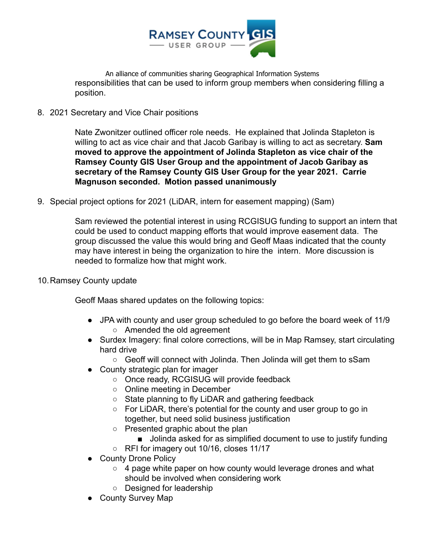

An alliance of communities sharing Geographical Information Systems responsibilities that can be used to inform group members when considering filling a position.

## 8. 2021 Secretary and Vice Chair positions

Nate Zwonitzer outlined officer role needs. He explained that Jolinda Stapleton is willing to act as vice chair and that Jacob Garibay is willing to act as secretary. **Sam moved to approve the appointment of Jolinda Stapleton as vice chair of the Ramsey County GIS User Group and the appointment of Jacob Garibay as secretary of the Ramsey County GIS User Group for the year 2021. Carrie Magnuson seconded. Motion passed unanimously**

9. Special project options for 2021 (LiDAR, intern for easement mapping) (Sam)

Sam reviewed the potential interest in using RCGISUG funding to support an intern that could be used to conduct mapping efforts that would improve easement data. The group discussed the value this would bring and Geoff Maas indicated that the county may have interest in being the organization to hire the intern. More discussion is needed to formalize how that might work.

10.Ramsey County update

Geoff Maas shared updates on the following topics:

- JPA with county and user group scheduled to go before the board week of 11/9 ○ Amended the old agreement
- Surdex Imagery: final colore corrections, will be in Map Ramsey, start circulating hard drive
	- Geoff will connect with Jolinda. Then Jolinda will get them to sSam
- County strategic plan for imager
	- Once ready, RCGISUG will provide feedback
	- Online meeting in December
	- State planning to fly LiDAR and gathering feedback
	- For LiDAR, there's potential for the county and user group to go in together, but need solid business justification
	- Presented graphic about the plan
		- Jolinda asked for as simplified document to use to justify funding
	- RFI for imagery out 10/16, closes 11/17
- County Drone Policy
	- 4 page white paper on how county would leverage drones and what should be involved when considering work
	- Designed for leadership
- County Survey Map